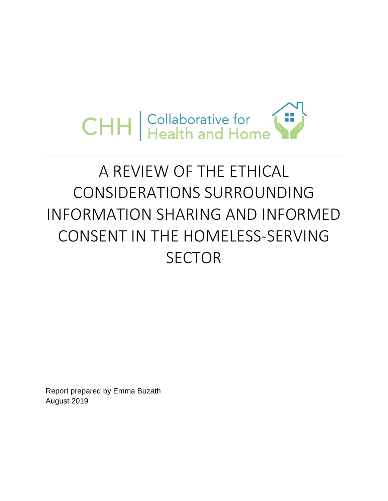

# A REVIEW OF THE ETHICAL CONSIDERATIONS SURROUNDING INFORMATION SHARING AND INFORMED CONSENT IN THE HOMELESS-SERVING SECTOR

Report prepared by Emma Buzath August 2019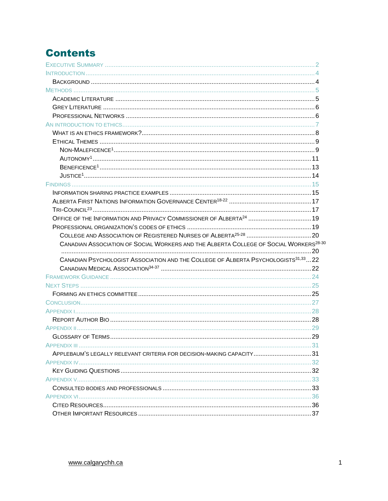### **Contents**

| OFFICE OF THE INFORMATION AND PRIVACY COMMISSIONER OF ALBERTA <sup>24</sup> 19                    |  |
|---------------------------------------------------------------------------------------------------|--|
|                                                                                                   |  |
|                                                                                                   |  |
| CANADIAN ASSOCIATION OF SOCIAL WORKERS AND THE ALBERTA COLLEGE OF SOCIAL WORKERS <sup>28-30</sup> |  |
|                                                                                                   |  |
|                                                                                                   |  |
| CANADIAN PSYCHOLOGIST ASSOCIATION AND THE COLLEGE OF ALBERTA PSYCHOLOGISTS <sup>31,33</sup> 22    |  |
|                                                                                                   |  |
|                                                                                                   |  |
|                                                                                                   |  |
|                                                                                                   |  |
|                                                                                                   |  |
|                                                                                                   |  |
|                                                                                                   |  |
|                                                                                                   |  |
|                                                                                                   |  |
|                                                                                                   |  |
| APPLEBAUM'S LEGALLY RELEVANT CRITERIA FOR DECISION-MAKING CAPACITY 31                             |  |
|                                                                                                   |  |
|                                                                                                   |  |
|                                                                                                   |  |
|                                                                                                   |  |
|                                                                                                   |  |
|                                                                                                   |  |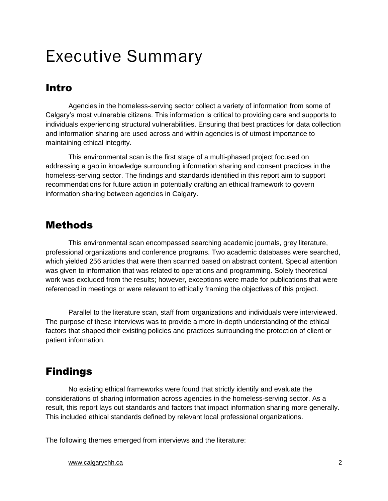# <span id="page-2-0"></span>Executive Summary

### Intro

Agencies in the homeless-serving sector collect a variety of information from some of Calgary's most vulnerable citizens. This information is critical to providing care and supports to individuals experiencing structural vulnerabilities. Ensuring that best practices for data collection and information sharing are used across and within agencies is of utmost importance to maintaining ethical integrity.

This environmental scan is the first stage of a multi-phased project focused on addressing a gap in knowledge surrounding information sharing and consent practices in the homeless-serving sector. The findings and standards identified in this report aim to support recommendations for future action in potentially drafting an ethical framework to govern information sharing between agencies in Calgary.

### Methods

This environmental scan encompassed searching academic journals, grey literature, professional organizations and conference programs. Two academic databases were searched, which yielded 256 articles that were then scanned based on abstract content. Special attention was given to information that was related to operations and programming. Solely theoretical work was excluded from the results; however, exceptions were made for publications that were referenced in meetings or were relevant to ethically framing the objectives of this project.

Parallel to the literature scan, staff from organizations and individuals were interviewed. The purpose of these interviews was to provide a more in-depth understanding of the ethical factors that shaped their existing policies and practices surrounding the protection of client or patient information.

### Findings

No existing ethical frameworks were found that strictly identify and evaluate the considerations of sharing information across agencies in the homeless-serving sector. As a result, this report lays out standards and factors that impact information sharing more generally. This included ethical standards defined by relevant local professional organizations.

The following themes emerged from interviews and the literature: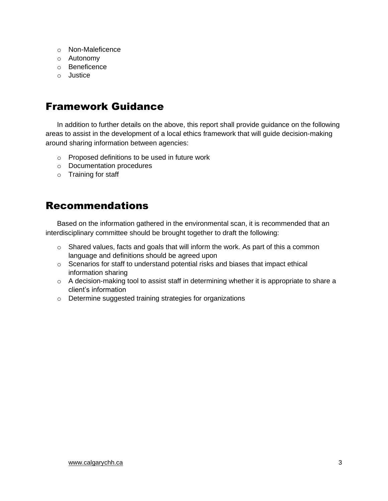- o Non-Maleficence
- o Autonomy
- o Beneficence
- o Justice

### Framework Guidance

In addition to further details on the above, this report shall provide guidance on the following areas to assist in the development of a local ethics framework that will guide decision-making around sharing information between agencies:

- o Proposed definitions to be used in future work
- o Documentation procedures
- o Training for staff

### Recommendations

Based on the information gathered in the environmental scan, it is recommended that an interdisciplinary committee should be brought together to draft the following:

- $\circ$  Shared values, facts and goals that will inform the work. As part of this a common language and definitions should be agreed upon
- o Scenarios for staff to understand potential risks and biases that impact ethical information sharing
- o A decision-making tool to assist staff in determining whether it is appropriate to share a client's information
- o Determine suggested training strategies for organizations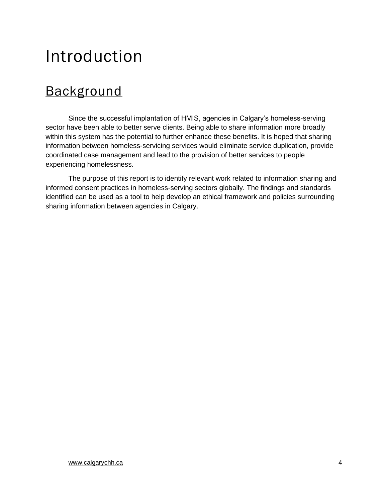# <span id="page-4-0"></span>Introduction

## <span id="page-4-1"></span>**Background**

Since the successful implantation of HMIS, agencies in Calgary's homeless-serving sector have been able to better serve clients. Being able to share information more broadly within this system has the potential to further enhance these benefits. It is hoped that sharing information between homeless-servicing services would eliminate service duplication, provide coordinated case management and lead to the provision of better services to people experiencing homelessness.

The purpose of this report is to identify relevant work related to information sharing and informed consent practices in homeless-serving sectors globally. The findings and standards identified can be used as a tool to help develop an ethical framework and policies surrounding sharing information between agencies in Calgary.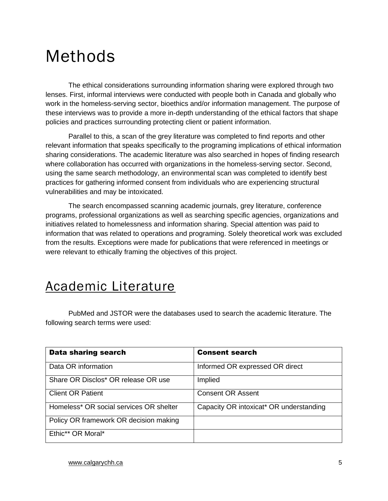# <span id="page-5-0"></span>Methods

The ethical considerations surrounding information sharing were explored through two lenses. First, informal interviews were conducted with people both in Canada and globally who work in the homeless-serving sector, bioethics and/or information management. The purpose of these interviews was to provide a more in-depth understanding of the ethical factors that shape policies and practices surrounding protecting client or patient information.

Parallel to this, a scan of the grey literature was completed to find reports and other relevant information that speaks specifically to the programing implications of ethical information sharing considerations. The academic literature was also searched in hopes of finding research where collaboration has occurred with organizations in the homeless-serving sector. Second, using the same search methodology, an environmental scan was completed to identify best practices for gathering informed consent from individuals who are experiencing structural vulnerabilities and may be intoxicated.

The search encompassed scanning academic journals, grey literature, conference programs, professional organizations as well as searching specific agencies, organizations and initiatives related to homelessness and information sharing. Special attention was paid to information that was related to operations and programing. Solely theoretical work was excluded from the results. Exceptions were made for publications that were referenced in meetings or were relevant to ethically framing the objectives of this project.

## <span id="page-5-1"></span>Academic Literature

PubMed and JSTOR were the databases used to search the academic literature. The following search terms were used:

| <b>Data sharing search</b>              | <b>Consent search</b>                   |
|-----------------------------------------|-----------------------------------------|
| Data OR information                     | Informed OR expressed OR direct         |
| Share OR Disclos* OR release OR use     | Implied                                 |
| <b>Client OR Patient</b>                | <b>Consent OR Assent</b>                |
| Homeless* OR social services OR shelter | Capacity OR intoxicat* OR understanding |
| Policy OR framework OR decision making  |                                         |
| Ethic** OR Moral*                       |                                         |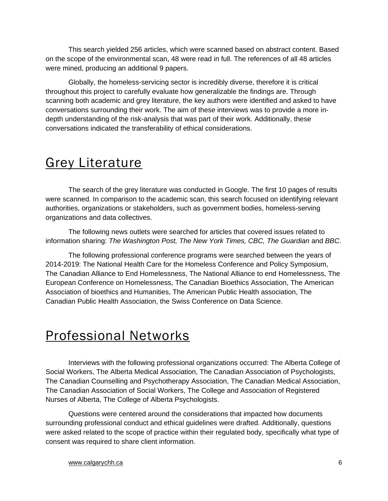This search yielded 256 articles, which were scanned based on abstract content. Based on the scope of the environmental scan, 48 were read in full. The references of all 48 articles were mined, producing an additional 9 papers.

Globally, the homeless-servicing sector is incredibly diverse, therefore it is critical throughout this project to carefully evaluate how generalizable the findings are. Through scanning both academic and grey literature, the key authors were identified and asked to have conversations surrounding their work. The aim of these interviews was to provide a more indepth understanding of the risk-analysis that was part of their work. Additionally, these conversations indicated the transferability of ethical considerations.

## <span id="page-6-0"></span>Grey Literature

The search of the grey literature was conducted in Google. The first 10 pages of results were scanned. In comparison to the academic scan, this search focused on identifying relevant authorities, organizations or stakeholders, such as government bodies, homeless-serving organizations and data collectives.

The following news outlets were searched for articles that covered issues related to information sharing: *The Washington Post, The New York Times, CBC, The Guardian* and *BBC*.

The following professional conference programs were searched between the years of 2014-2019: The National Health Care for the Homeless Conference and Policy Symposium, The Canadian Alliance to End Homelessness, The National Alliance to end Homelessness, The European Conference on Homelessness, The Canadian Bioethics Association, The American Association of bioethics and Humanities, The American Public Health association, The Canadian Public Health Association, the Swiss Conference on Data Science.

## <span id="page-6-1"></span>Professional Networks

Interviews with the following professional organizations occurred: The Alberta College of Social Workers, The Alberta Medical Association, The Canadian Association of Psychologists, The Canadian Counselling and Psychotherapy Association, The Canadian Medical Association, The Canadian Association of Social Workers, The College and Association of Registered Nurses of Alberta, The College of Alberta Psychologists.

Questions were centered around the considerations that impacted how documents surrounding professional conduct and ethical guidelines were drafted. Additionally, questions were asked related to the scope of practice within their regulated body, specifically what type of consent was required to share client information.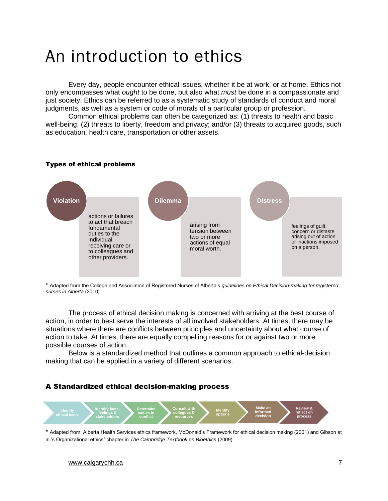# <span id="page-7-0"></span>An introduction to ethics

Every day, people encounter ethical issues, whether it be at work, or at home. Ethics not only encompasses what *ought* to be done, but also what *must* be done in a compassionate and just society. Ethics can be referred to as a systematic study of standards of conduct and moral judgments, as well as a system or code of morals of a particular group or profession.

Common ethical problems can often be categorized as: (1) threats to health and basic well-being; (2) threats to liberty, freedom and privacy; and/or (3) threats to acquired goods, such as education, health care, transportation or other assets.



#### Types of ethical problems

\* Adapted from the College and Association of Registered Nurses of Alberta's *guidelines on Ethical Decision-making for registered nurses in Alberta* (2010)

The process of ethical decision making is concerned with arriving at the best course of action, in order to best serve the interests of all involved stakeholders. At times, there may be situations where there are conflicts between principles and uncertainty about what course of action to take. At times, there are equally compelling reasons for or against two or more possible courses of action.

Below is a standardized method that outlines a common approach to ethical-decision making that can be applied in a variety of different scenarios.

#### A Standardized ethical decision-making process



\* Adapted from: Alberta Health Services ethics framework, McDonald's Framework for ethical decision making (2001) and Gibson et al.'s Organizational ethics" chapter in *The Cambridge Textbook on Bioethics* (2009)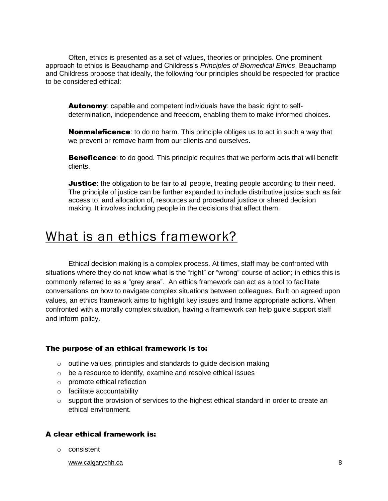Often, ethics is presented as a set of values, theories or principles. One prominent approach to ethics is Beauchamp and Childress's *Principles of Biomedical Ethics*. Beauchamp and Childress propose that ideally, the following four principles should be respected for practice to be considered ethical:

**Autonomy:** capable and competent individuals have the basic right to selfdetermination, independence and freedom, enabling them to make informed choices.

**Nonmaleficence**: to do no harm. This principle obliges us to act in such a way that we prevent or remove harm from our clients and ourselves.

**Beneficence:** to do good. This principle requires that we perform acts that will benefit clients.

**Justice**: the obligation to be fair to all people, treating people according to their need. The principle of justice can be further expanded to include distributive justice such as fair access to, and allocation of, resources and procedural justice or shared decision making. It involves including people in the decisions that affect them.

### <span id="page-8-0"></span>What is an ethics framework?

Ethical decision making is a complex process. At times, staff may be confronted with situations where they do not know what is the "right" or "wrong" course of action; in ethics this is commonly referred to as a "grey area". An ethics framework can act as a tool to facilitate conversations on how to navigate complex situations between colleagues. Built on agreed upon values, an ethics framework aims to highlight key issues and frame appropriate actions. When confronted with a morally complex situation, having a framework can help guide support staff and inform policy.

#### The purpose of an ethical framework is to:

- $\circ$  outline values, principles and standards to quide decision making
- o be a resource to identify, examine and resolve ethical issues
- o promote ethical reflection
- o facilitate accountability
- o support the provision of services to the highest ethical standard in order to create an ethical environment.

#### A clear ethical framework is:

o consistent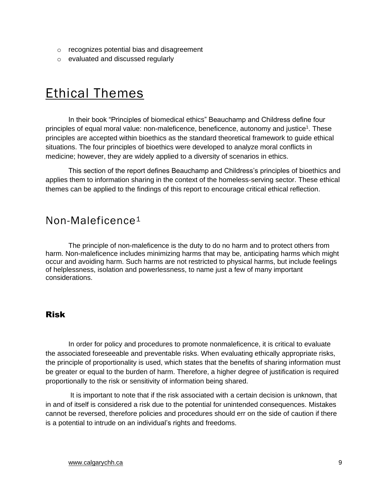- o recognizes potential bias and disagreement
- o evaluated and discussed regularly

## <span id="page-9-0"></span>Ethical Themes

In their book "Principles of biomedical ethics" Beauchamp and Childress define four principles of equal moral value: non-maleficence, beneficence, autonomy and justice<sup>1</sup>. These principles are accepted within bioethics as the standard theoretical framework to guide ethical situations. The four principles of bioethics were developed to analyze moral conflicts in medicine; however, they are widely applied to a diversity of scenarios in ethics.

This section of the report defines Beauchamp and Childress's principles of bioethics and applies them to information sharing in the context of the homeless-serving sector. These ethical themes can be applied to the findings of this report to encourage critical ethical reflection.

### <span id="page-9-1"></span>Non-Maleficence<sup>1</sup>

The principle of non-maleficence is the duty to do no harm and to protect others from harm. Non-maleficence includes minimizing harms that may be, anticipating harms which might occur and avoiding harm. Such harms are not restricted to physical harms, but include feelings of helplessness, isolation and powerlessness, to name just a few of many important considerations.

#### Risk

In order for policy and procedures to promote nonmaleficence, it is critical to evaluate the associated foreseeable and preventable risks. When evaluating ethically appropriate risks, the principle of proportionality is used, which states that the benefits of sharing information must be greater or equal to the burden of harm. Therefore, a higher degree of justification is required proportionally to the risk or sensitivity of information being shared.

It is important to note that if the risk associated with a certain decision is unknown, that in and of itself is considered a risk due to the potential for unintended consequences. Mistakes cannot be reversed, therefore policies and procedures should err on the side of caution if there is a potential to intrude on an individual's rights and freedoms.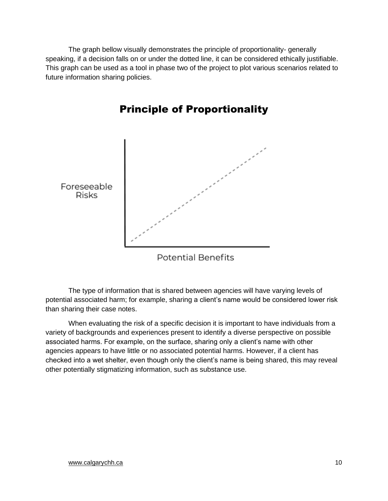The graph bellow visually demonstrates the principle of proportionality- generally speaking, if a decision falls on or under the dotted line, it can be considered ethically justifiable. This graph can be used as a tool in phase two of the project to plot various scenarios related to future information sharing policies.



### Principle of Proportionality

The type of information that is shared between agencies will have varying levels of potential associated harm; for example, sharing a client's name would be considered lower risk than sharing their case notes.

When evaluating the risk of a specific decision it is important to have individuals from a variety of backgrounds and experiences present to identify a diverse perspective on possible associated harms. For example, on the surface, sharing only a client's name with other agencies appears to have little or no associated potential harms. However, if a client has checked into a wet shelter, even though only the client's name is being shared, this may reveal other potentially stigmatizing information, such as substance use.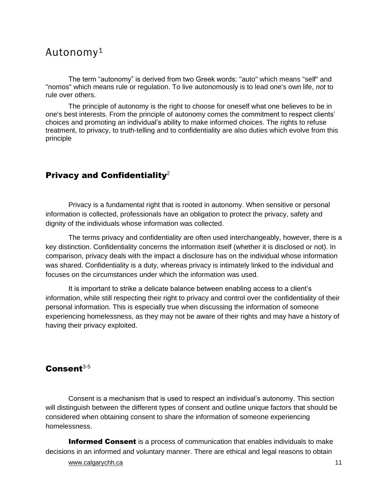### <span id="page-11-0"></span>Autonomy<sup>1</sup>

The term "autonomy" is derived from two Greek words: "auto" which means "self" and "nomos" which means rule or regulation. To live autonomously is to lead one's own life, *not* to rule over others.

The principle of autonomy is the right to choose for oneself what one believes to be in one's best interests. From the principle of autonomy comes the commitment to respect clients' choices and promoting an individual's ability to make informed choices. The rights to refuse treatment, to privacy, to truth-telling and to confidentiality are also duties which evolve from this principle

#### Privacy and Confidentiality<sup>2</sup>

Privacy is a fundamental right that is rooted in autonomy. When sensitive or personal information is collected, professionals have an obligation to protect the privacy, safety and dignity of the individuals whose information was collected.

The terms privacy and confidentiality are often used interchangeably, however, there is a key distinction. Confidentiality concerns the information itself (whether it is disclosed or not). In comparison, privacy deals with the impact a disclosure has on the individual whose information was shared. Confidentiality is a duty, whereas privacy is intimately linked to the individual and focuses on the circumstances under which the information was used.

It is important to strike a delicate balance between enabling access to a client's information, while still respecting their right to privacy and control over the confidentiality of their personal information. This is especially true when discussing the information of someone experiencing homelessness, as they may not be aware of their rights and may have a history of having their privacy exploited.

#### Consent3-5

Consent is a mechanism that is used to respect an individual's autonomy. This section will distinguish between the different types of consent and outline unique factors that should be considered when obtaining consent to share the information of someone experiencing homelessness.

Informed Consent is a process of communication that enables individuals to make decisions in an informed and voluntary manner. There are ethical and legal reasons to obtain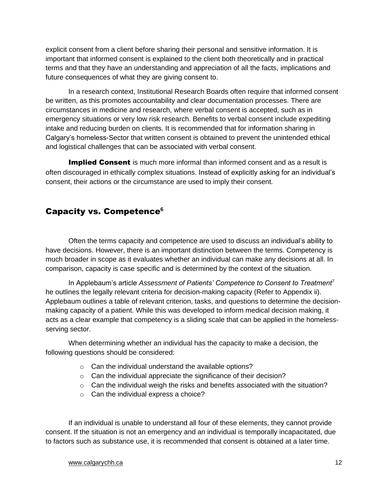explicit consent from a client before sharing their personal and sensitive information. It is important that informed consent is explained to the client both theoretically and in practical terms and that they have an understanding and appreciation of all the facts, implications and future consequences of what they are giving consent to.

In a research context, Institutional Research Boards often require that informed consent be written, as this promotes accountability and clear documentation processes. There are circumstances in medicine and research, where verbal consent is accepted, such as in emergency situations or very low risk research. Benefits to verbal consent include expediting intake and reducing burden on clients. It is recommended that for information sharing in Calgary's homeless-Sector that written consent is obtained to prevent the unintended ethical and logistical challenges that can be associated with verbal consent.

**Implied Consent** is much more informal than informed consent and as a result is often discouraged in ethically complex situations. Instead of explicitly asking for an individual's consent, their actions or the circumstance are used to imply their consent.

### Capacity vs. Competence**<sup>6</sup>**

Often the terms capacity and competence are used to discuss an individual's ability to have decisions. However, there is an important distinction between the terms. Competency is much broader in scope as it evaluates whether an individual can make any decisions at all. In comparison, capacity is case specific and is determined by the context of the situation.

In Applebaum's article *Assessment of Patients' Competence to Consent to Treatment*<sup>7</sup> he outlines the legally relevant criteria for decision-making capacity (Refer to Appendix ii). Applebaum outlines a table of relevant criterion, tasks, and questions to determine the decisionmaking capacity of a patient. While this was developed to inform medical decision making, it acts as a clear example that competency is a sliding scale that can be applied in the homelessserving sector.

When determining whether an individual has the capacity to make a decision, the following questions should be considered:

- o Can the individual understand the available options?
- o Can the individual appreciate the significance of their decision?
- $\circ$  Can the individual weigh the risks and benefits associated with the situation?
- o Can the individual express a choice?

If an individual is unable to understand all four of these elements, they cannot provide consent. If the situation is not an emergency and an individual is temporally incapacitated, due to factors such as substance use, it is recommended that consent is obtained at a later time.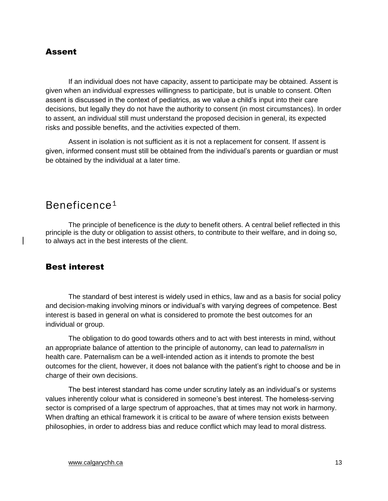#### Assent

If an individual does not have capacity, assent to participate may be obtained. Assent is given when an individual expresses willingness to participate, but is unable to consent. Often assent is discussed in the context of pediatrics, as we value a child's input into their care decisions, but legally they do not have the authority to consent (in most circumstances). In order to assent, an individual still must understand the proposed decision in general, its expected risks and possible benefits, and the activities expected of them.

Assent in isolation is not sufficient as it is not a replacement for consent. If assent is given, informed consent must still be obtained from the individual's parents or guardian or must be obtained by the individual at a later time.

### <span id="page-13-0"></span>Beneficence<sup>1</sup>

The principle of beneficence is the *duty* to benefit others. A central belief reflected in this principle is the duty or obligation to assist others, to contribute to their welfare, and in doing so, to always act in the best interests of the client.

#### Best interest

The standard of best interest is widely used in ethics, law and as a basis for social policy and decision-making involving minors or individual's with varying degrees of competence. Best interest is based in general on what is considered to promote the best outcomes for an individual or group.

The obligation to do good towards others and to act with best interests in mind, without an appropriate balance of attention to the principle of autonomy, can lead to *paternalism* in health care. Paternalism can be a well-intended action as it intends to promote the best outcomes for the client, however, it does not balance with the patient's right to choose and be in charge of their own decisions.

The best interest standard has come under scrutiny lately as an individual's or systems values inherently colour what is considered in someone's best interest. The homeless-serving sector is comprised of a large spectrum of approaches, that at times may not work in harmony. When drafting an ethical framework it is critical to be aware of where tension exists between philosophies, in order to address bias and reduce conflict which may lead to moral distress.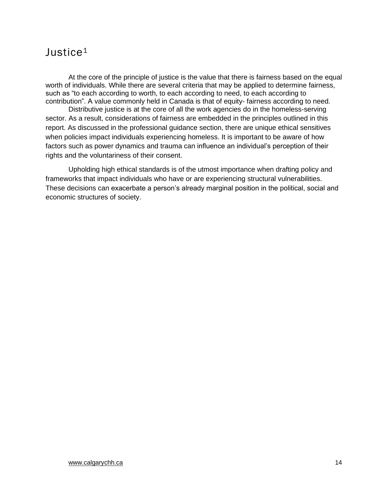### <span id="page-14-0"></span>Justice<sup>1</sup>

At the core of the principle of justice is the value that there is fairness based on the equal worth of individuals. While there are several criteria that may be applied to determine fairness, such as "to each according to worth, to each according to need, to each according to contribution". A value commonly held in Canada is that of equity- fairness according to need.

Distributive justice is at the core of all the work agencies do in the homeless-serving sector. As a result, considerations of fairness are embedded in the principles outlined in this report. As discussed in the professional guidance section, there are unique ethical sensitives when policies impact individuals experiencing homeless. It is important to be aware of how factors such as power dynamics and trauma can influence an individual's perception of their rights and the voluntariness of their consent.

Upholding high ethical standards is of the utmost importance when drafting policy and frameworks that impact individuals who have or are experiencing structural vulnerabilities. These decisions can exacerbate a person's already marginal position in the political, social and economic structures of society.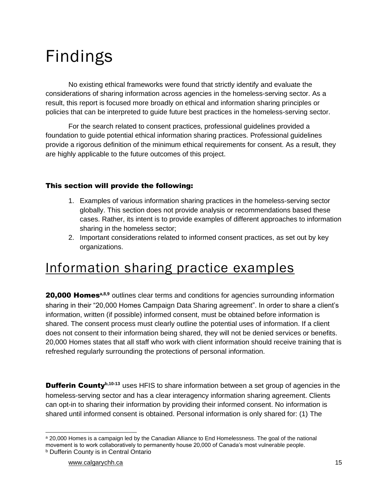# <span id="page-15-0"></span>Findings

No existing ethical frameworks were found that strictly identify and evaluate the considerations of sharing information across agencies in the homeless-serving sector. As a result, this report is focused more broadly on ethical and information sharing principles or policies that can be interpreted to guide future best practices in the homeless-serving sector.

For the search related to consent practices, professional guidelines provided a foundation to guide potential ethical information sharing practices. Professional guidelines provide a rigorous definition of the minimum ethical requirements for consent. As a result, they are highly applicable to the future outcomes of this project.

#### This section will provide the following:

- 1. Examples of various information sharing practices in the homeless-serving sector globally. This section does not provide analysis or recommendations based these cases. Rather, its intent is to provide examples of different approaches to information sharing in the homeless sector;
- 2. Important considerations related to informed consent practices, as set out by key organizations.

## <span id="page-15-1"></span>Information sharing practice examples

20,000 Homes<sup>a,8,9</sup> outlines clear terms and conditions for agencies surrounding information sharing in their "20,000 Homes Campaign Data Sharing agreement". In order to share a client's information, written (if possible) informed consent, must be obtained before information is shared. The consent process must clearly outline the potential uses of information. If a client does not consent to their information being shared, they will not be denied services or benefits. 20,000 Homes states that all staff who work with client information should receive training that is refreshed regularly surrounding the protections of personal information.

**Dufferin County**<sup>b, 10-13</sup> uses HFIS to share information between a set group of agencies in the homeless-serving sector and has a clear interagency information sharing agreement. Clients can opt-in to sharing their information by providing their informed consent. No information is shared until informed consent is obtained. Personal information is only shared for: (1) The

a 20,000 Homes is a campaign led by the Canadian Alliance to End Homelessness. The goal of the national movement is to work collaboratively to permanently house 20,000 of Canada's most vulnerable people. **b Dufferin County is in Central Ontario**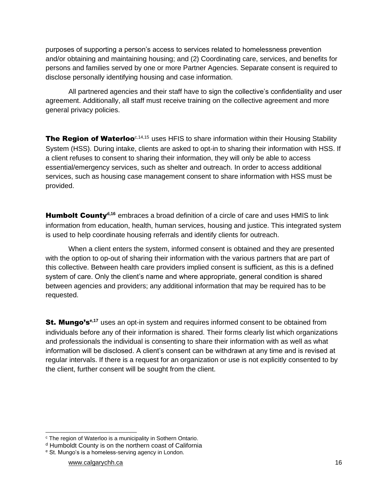purposes of supporting a person's access to services related to homelessness prevention and/or obtaining and maintaining housing; and (2) Coordinating care, services, and benefits for persons and families served by one or more Partner Agencies. Separate consent is required to disclose personally identifying housing and case information.

All partnered agencies and their staff have to sign the collective's confidentiality and user agreement. Additionally, all staff must receive training on the collective agreement and more general privacy policies.

**The Region of Waterloo**<sup> $c,14,15$ </sup> uses HFIS to share information within their Housing Stability System (HSS). During intake, clients are asked to opt-in to sharing their information with HSS. If a client refuses to consent to sharing their information, they will only be able to access essential/emergency services, such as shelter and outreach. In order to access additional services, such as housing case management consent to share information with HSS must be provided.

Humbolt County<sup>d,16</sup> embraces a broad definition of a circle of care and uses HMIS to link information from education, health, human services, housing and justice. This integrated system is used to help coordinate housing referrals and identify clients for outreach.

When a client enters the system, informed consent is obtained and they are presented with the option to op-out of sharing their information with the various partners that are part of this collective. Between health care providers implied consent is sufficient, as this is a defined system of care. Only the client's name and where appropriate, general condition is shared between agencies and providers; any additional information that may be required has to be requested.

**St. Mungo's**<sup>e,17</sup> uses an opt-in system and requires informed consent to be obtained from individuals before any of their information is shared. Their forms clearly list which organizations and professionals the individual is consenting to share their information with as well as what information will be disclosed. A client's consent can be withdrawn at any time and is revised at regular intervals. If there is a request for an organization or use is not explicitly consented to by the client, further consent will be sought from the client.

<sup>c</sup> The region of Waterloo is a municipality in Sothern Ontario.

<sup>d</sup> Humboldt County is on the northern coast of California

<sup>e</sup> St. Mungo's is a homeless-serving agency in London.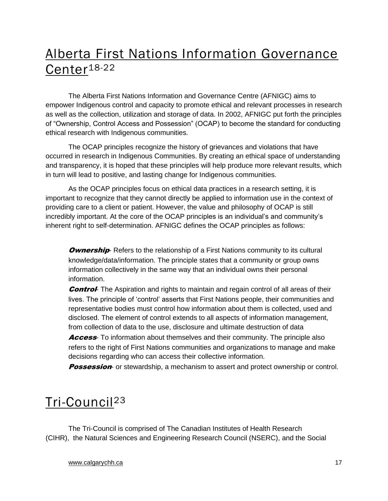## <span id="page-17-0"></span>Alberta First Nations Information Governance Center18-22

The Alberta First Nations Information and Governance Centre (AFNIGC) aims to empower Indigenous control and capacity to promote ethical and relevant processes in research as well as the collection, utilization and storage of data. In 2002, AFNIGC put forth the principles of "Ownership, Control Access and Possession" (OCAP) to become the standard for conducting ethical research with Indigenous communities.

The OCAP principles recognize the history of grievances and violations that have occurred in research in Indigenous Communities. By creating an ethical space of understanding and transparency, it is hoped that these principles will help produce more relevant results, which in turn will lead to positive, and lasting change for Indigenous communities.

As the OCAP principles focus on ethical data practices in a research setting, it is important to recognize that they cannot directly be applied to information use in the context of providing care to a client or patient. However, the value and philosophy of OCAP is still incredibly important. At the core of the OCAP principles is an individual's and community's inherent right to self-determination. AFNIGC defines the OCAP principles as follows:

**Ownership-** Refers to the relationship of a First Nations community to its cultural knowledge/data/information. The principle states that a community or group owns information collectively in the same way that an individual owns their personal information.

**Control-** The Aspiration and rights to maintain and regain control of all areas of their lives. The principle of 'control' asserts that First Nations people, their communities and representative bodies must control how information about them is collected, used and disclosed. The element of control extends to all aspects of information management, from collection of data to the use, disclosure and ultimate destruction of data

Access- To information about themselves and their community. The principle also refers to the right of First Nations communities and organizations to manage and make decisions regarding who can access their collective information.

**Possession-** or stewardship, a mechanism to assert and protect ownership or control.

## <span id="page-17-1"></span>Tri-Council<sup>23</sup>

The Tri-Council is comprised of The Canadian [Institutes of Health Research](http://www.ucalgary.ca/research/researchers/apply-grants/grants-external/cihr)  [\(CIHR\),](http://www.ucalgary.ca/research/researchers/apply-grants/grants-external/cihr) the [Natural Sciences and Engineering Research Council \(NSERC\),](http://www.ucalgary.ca/research/researchers/apply-grants/grants-external/nserc) and the [Social](http://www.ucalgary.ca/research/researchers/apply-grants/grants-external/sshrc)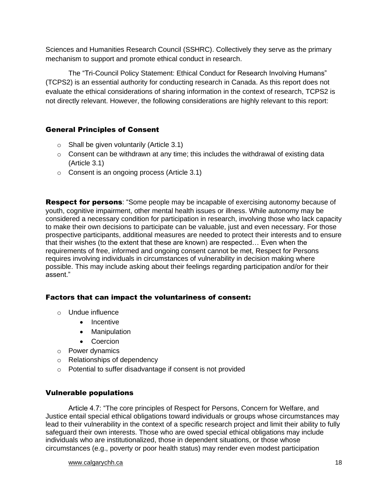[Sciences and Humanities Research Council \(SSHRC\).](http://www.ucalgary.ca/research/researchers/apply-grants/grants-external/sshrc) Collectively they serve as the primary mechanism to support and promote ethical conduct in research.

The "Tri-Council Policy Statement: Ethical Conduct for Research Involving Humans" (TCPS2) is an essential authority for conducting research in Canada. As this report does not evaluate the ethical considerations of sharing information in the context of research, TCPS2 is not directly relevant. However, the following considerations are highly relevant to this report:

#### General Principles of Consent

- $\circ$  Shall be given voluntarily (Article 3.1)
- $\circ$  Consent can be withdrawn at any time; this includes the withdrawal of existing data (Article 3.1)
- o Consent is an ongoing process (Article 3.1)

**Respect for persons:** "Some people may be incapable of exercising autonomy because of youth, cognitive impairment, other mental health issues or illness. While autonomy may be considered a necessary condition for participation in research, involving those who lack capacity to make their own decisions to participate can be valuable, just and even necessary. For those prospective participants, additional measures are needed to protect their interests and to ensure that their wishes (to the extent that these are known) are respected… Even when the requirements of free, informed and ongoing consent cannot be met, Respect for Persons requires involving individuals in circumstances of vulnerability in decision making where possible. This may include asking about their feelings regarding participation and/or for their assent"

#### Factors that can impact the voluntariness of consent:

- $\circ$  Undue influence
	- Incentive
	- Manipulation
	- Coercion
- o Power dynamics
- o Relationships of dependency
- o Potential to suffer disadvantage if consent is not provided

#### Vulnerable populations

Article 4.7: "The core principles of Respect for Persons, Concern for Welfare, and Justice entail special ethical obligations toward individuals or groups whose circumstances may lead to their vulnerability in the context of a specific research project and limit their ability to fully safeguard their own interests. Those who are owed special ethical obligations may include individuals who are institutionalized, those in dependent situations, or those whose circumstances (e.g., poverty or poor health status) may render even modest participation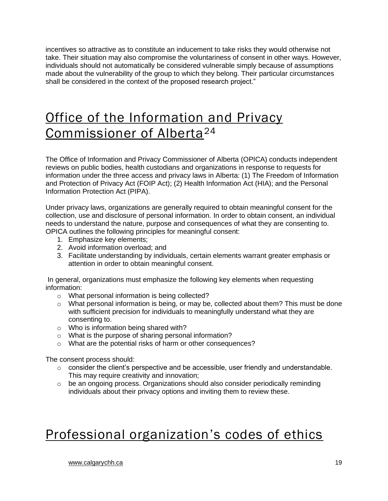incentives so attractive as to constitute an inducement to take risks they would otherwise not take. Their situation may also compromise the voluntariness of consent in other ways. However, individuals should not automatically be considered vulnerable simply because of assumptions made about the vulnerability of the group to which they belong. Their particular circumstances shall be considered in the context of the proposed research project."

## <span id="page-19-0"></span>**Office of the Information and Privacy** Commissioner of Alberta<sup>24</sup>

The Office of Information and Privacy Commissioner of Alberta (OPICA) conducts independent reviews on public bodies, health custodians and organizations in response to requests for information under the three access and privacy laws in Alberta: (1) The Freedom of Information and Protection of Privacy Act (FOIP Act); (2) Health Information Act (HIA); and the Personal Information Protection Act (PIPA).

Under privacy laws, organizations are generally required to obtain meaningful consent for the collection, use and disclosure of personal information. In order to obtain consent, an individual needs to understand the nature, purpose and consequences of what they are consenting to. OPICA outlines the following principles for meaningful consent:

- 1. Emphasize key elements;
- 2. Avoid information overload; and
- 3. Facilitate understanding by individuals, certain elements warrant greater emphasis or attention in order to obtain meaningful consent.

In general, organizations must emphasize the following key elements when requesting information:

- o What personal information is being collected?
- o What personal information is being, or may be, collected about them? This must be done with sufficient precision for individuals to meaningfully understand what they are consenting to.
- o Who is information being shared with?
- o What is the purpose of sharing personal information?
- o What are the potential risks of harm or other consequences?

The consent process should:

- $\circ$  consider the client's perspective and be accessible, user friendly and understandable. This may require creativity and innovation;
- $\circ$  be an ongoing process. Organizations should also consider periodically reminding individuals about their privacy options and inviting them to review these.

## <span id="page-19-1"></span>Professional organization's codes of ethics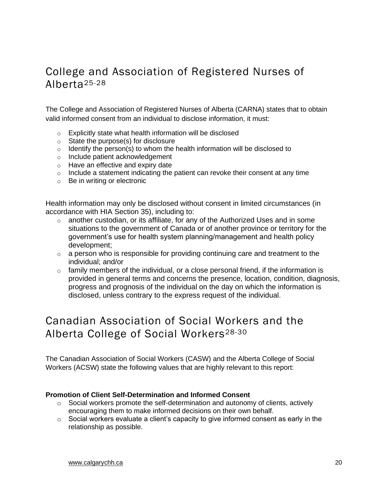### <span id="page-20-0"></span>College and Association of Registered Nurses of Alberta25-28

The College and Association of Registered Nurses of Alberta (CARNA) states that to obtain valid informed consent from an individual to disclose information, it must:

- o Explicitly state what health information will be disclosed
- $\circ$  State the purpose(s) for disclosure
- $\circ$  Identify the person(s) to whom the health information will be disclosed to
- o Include patient acknowledgement
- o Have an effective and expiry date
- $\circ$  Include a statement indicating the patient can revoke their consent at any time
- o Be in writing or electronic

Health information may only be disclosed without consent in limited circumstances (in accordance with HIA Section 35), including to:

- $\circ$  another custodian, or its affiliate, for any of the Authorized Uses and in some situations to the government of Canada or of another province or territory for the government's use for health system planning/management and health policy development;
- $\circ$  a person who is responsible for providing continuing care and treatment to the individual; and/or
- $\circ$  family members of the individual, or a close personal friend, if the information is provided in general terms and concerns the presence, location, condition, diagnosis, progress and prognosis of the individual on the day on which the information is disclosed, unless contrary to the express request of the individual.

### <span id="page-20-1"></span>Canadian Association of Social Workers and the Alberta College of Social Workers28-30

The Canadian Association of Social Workers (CASW) and the Alberta College of Social Workers (ACSW) state the following values that are highly relevant to this report:

#### **Promotion of Client Self-Determination and Informed Consent**

- $\circ$  Social workers promote the self-determination and autonomy of clients, actively encouraging them to make informed decisions on their own behalf.
- $\circ$  Social workers evaluate a client's capacity to give informed consent as early in the relationship as possible.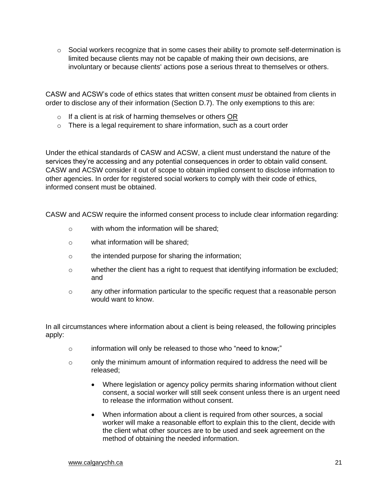$\circ$  Social workers recognize that in some cases their ability to promote self-determination is limited because clients may not be capable of making their own decisions, are involuntary or because clients' actions pose a serious threat to themselves or others.

CASW and ACSW's code of ethics states that written consent *must* be obtained from clients in order to disclose any of their information (Section D.7). The only exemptions to this are:

- o If a client is at risk of harming themselves or others OR
- o There is a legal requirement to share information, such as a court order

Under the ethical standards of CASW and ACSW, a client must understand the nature of the services they're accessing and any potential consequences in order to obtain valid consent. CASW and ACSW consider it out of scope to obtain implied consent to disclose information to other agencies. In order for registered social workers to comply with their code of ethics, informed consent must be obtained.

CASW and ACSW require the informed consent process to include clear information regarding:

- o with whom the information will be shared;
- o what information will be shared;
- o the intended purpose for sharing the information;
- $\circ$  whether the client has a right to request that identifying information be excluded; and
- $\circ$  any other information particular to the specific request that a reasonable person would want to know.

In all circumstances where information about a client is being released, the following principles apply:

- o information will only be released to those who "need to know;"
- $\circ$  only the minimum amount of information required to address the need will be released;
	- Where legislation or agency policy permits sharing information without client consent, a social worker will still seek consent unless there is an urgent need to release the information without consent.
	- When information about a client is required from other sources, a social worker will make a reasonable effort to explain this to the client, decide with the client what other sources are to be used and seek agreement on the method of obtaining the needed information.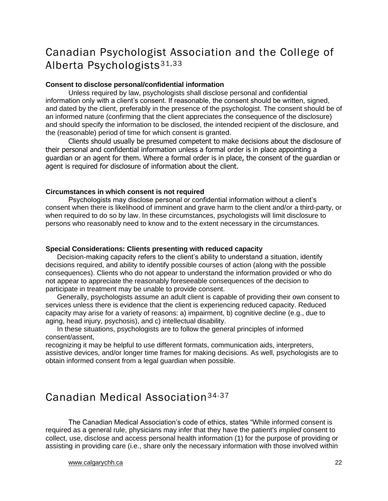### <span id="page-22-0"></span>Canadian Psychologist Association and the College of Alberta Psychologists31,33

#### **Consent to disclose personal/confidential information**

Unless required by law, psychologists shall disclose personal and confidential information only with a client's consent. If reasonable, the consent should be written, signed, and dated by the client, preferably in the presence of the psychologist. The consent should be of an informed nature (confirming that the client appreciates the consequence of the disclosure) and should specify the information to be disclosed, the intended recipient of the disclosure, and the (reasonable) period of time for which consent is granted.

Clients should usually be presumed competent to make decisions about the disclosure of their personal and confidential information unless a formal order is in place appointing a guardian or an agent for them. Where a formal order is in place, the consent of the guardian or agent is required for disclosure of information about the client.

#### **Circumstances in which consent is not required**

Psychologists may disclose personal or confidential information without a client's consent when there is likelihood of imminent and grave harm to the client and/or a third-party, or when required to do so by law. In these circumstances, psychologists will limit disclosure to persons who reasonably need to know and to the extent necessary in the circumstances.

#### **Special Considerations: Clients presenting with reduced capacity**

Decision-making capacity refers to the client's ability to understand a situation, identify decisions required, and ability to identify possible courses of action (along with the possible consequences). Clients who do not appear to understand the information provided or who do not appear to appreciate the reasonably foreseeable consequences of the decision to participate in treatment may be unable to provide consent.

Generally, psychologists assume an adult client is capable of providing their own consent to services unless there is evidence that the client is experiencing reduced capacity. Reduced capacity may arise for a variety of reasons: a) impairment, b) cognitive decline (e.g., due to aging, head injury, psychosis), and c) intellectual disability.

In these situations, psychologists are to follow the general principles of informed consent/assent,

recognizing it may be helpful to use different formats, communication aids, interpreters, assistive devices, and/or longer time frames for making decisions. As well, psychologists are to obtain informed consent from a legal guardian when possible.

### <span id="page-22-1"></span>Canadian Medical Association34-37

The Canadian Medical Association's code of ethics, states "While informed consent is required as a general rule, physicians may infer that they have the patient's *implied* consent to collect, use, disclose and access personal health information (1) for the purpose of providing or assisting in providing care (i.e., share only the necessary information with those involved within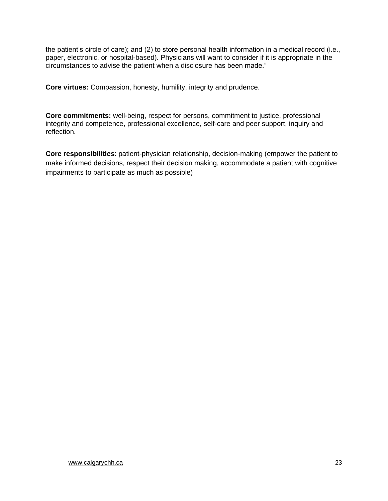the patient's circle of care); and (2) to store personal health information in a medical record (i.e., paper, electronic, or hospital-based). Physicians will want to consider if it is appropriate in the circumstances to advise the patient when a disclosure has been made."

**Core virtues:** Compassion, honesty, humility, integrity and prudence.

**Core commitments:** well-being, respect for persons, commitment to justice, professional integrity and competence, professional excellence, self-care and peer support, inquiry and reflection.

**Core responsibilities**: patient-physician relationship, decision-making (empower the patient to make informed decisions, respect their decision making, accommodate a patient with cognitive impairments to participate as much as possible)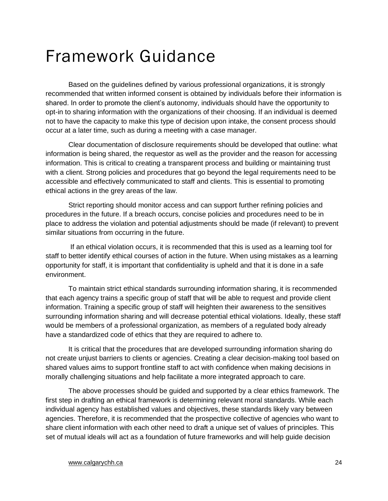# <span id="page-24-0"></span>Framework Guidance

Based on the guidelines defined by various professional organizations, it is strongly recommended that written informed consent is obtained by individuals before their information is shared. In order to promote the client's autonomy, individuals should have the opportunity to opt-in to sharing information with the organizations of their choosing. If an individual is deemed not to have the capacity to make this type of decision upon intake, the consent process should occur at a later time, such as during a meeting with a case manager.

Clear documentation of disclosure requirements should be developed that outline: what information is being shared, the requestor as well as the provider and the reason for accessing information. This is critical to creating a transparent process and building or maintaining trust with a client. Strong policies and procedures that go beyond the legal requirements need to be accessible and effectively communicated to staff and clients. This is essential to promoting ethical actions in the grey areas of the law.

Strict reporting should monitor access and can support further refining policies and procedures in the future. If a breach occurs, concise policies and procedures need to be in place to address the violation and potential adjustments should be made (if relevant) to prevent similar situations from occurring in the future.

If an ethical violation occurs, it is recommended that this is used as a learning tool for staff to better identify ethical courses of action in the future. When using mistakes as a learning opportunity for staff, it is important that confidentiality is upheld and that it is done in a safe environment.

To maintain strict ethical standards surrounding information sharing, it is recommended that each agency trains a specific group of staff that will be able to request and provide client information. Training a specific group of staff will heighten their awareness to the sensitives surrounding information sharing and will decrease potential ethical violations. Ideally, these staff would be members of a professional organization, as members of a regulated body already have a standardized code of ethics that they are required to adhere to.

It is critical that the procedures that are developed surrounding information sharing do not create unjust barriers to clients or agencies. Creating a clear decision-making tool based on shared values aims to support frontline staff to act with confidence when making decisions in morally challenging situations and help facilitate a more integrated approach to care.

The above processes should be guided and supported by a clear ethics framework. The first step in drafting an ethical framework is determining relevant moral standards. While each individual agency has established values and objectives, these standards likely vary between agencies. Therefore, it is recommended that the prospective collective of agencies who want to share client information with each other need to draft a unique set of values of principles. This set of mutual ideals will act as a foundation of future frameworks and will help guide decision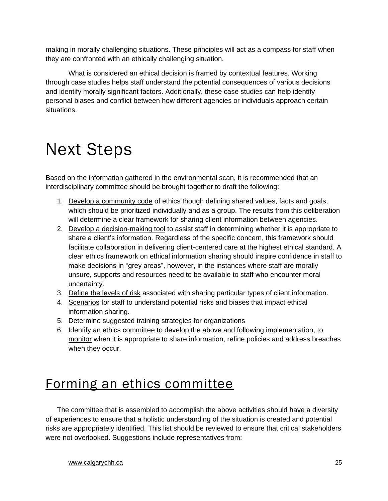making in morally challenging situations. These principles will act as a compass for staff when they are confronted with an ethically challenging situation.

What is considered an ethical decision is framed by contextual features. Working through case studies helps staff understand the potential consequences of various decisions and identify morally significant factors. Additionally, these case studies can help identify personal biases and conflict between how different agencies or individuals approach certain situations.

# <span id="page-25-0"></span>Next Steps

Based on the information gathered in the environmental scan, it is recommended that an interdisciplinary committee should be brought together to draft the following:

- 1. Develop a community code of ethics though defining shared values, facts and goals, which should be prioritized individually and as a group. The results from this deliberation will determine a clear framework for sharing client information between agencies.
- 2. Develop a decision-making tool to assist staff in determining whether it is appropriate to share a client's information. Regardless of the specific concern, this framework should facilitate collaboration in delivering client-centered care at the highest ethical standard. A clear ethics framework on ethical information sharing should inspire confidence in staff to make decisions in "grey areas", however, in the instances where staff are morally unsure, supports and resources need to be available to staff who encounter moral uncertainty.
- 3. Define the levels of risk associated with sharing particular types of client information.
- 4. Scenarios for staff to understand potential risks and biases that impact ethical information sharing.
- 5. Determine suggested training strategies for organizations
- 6. Identify an ethics committee to develop the above and following implementation, to monitor when it is appropriate to share information, refine policies and address breaches when they occur.

## <span id="page-25-1"></span>Forming an ethics committee

The committee that is assembled to accomplish the above activities should have a diversity of experiences to ensure that a holistic understanding of the situation is created and potential risks are appropriately identified. This list should be reviewed to ensure that critical stakeholders were not overlooked. Suggestions include representatives from: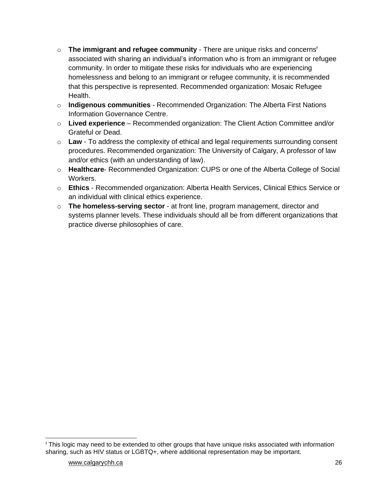- $\circ$  **The immigrant and refugee community** There are unique risks and concerns<sup>f</sup> associated with sharing an individual's information who is from an immigrant or refugee community. In order to mitigate these risks for individuals who are experiencing homelessness and belong to an immigrant or refugee community, it is recommended that this perspective is represented. Recommended organization: Mosaic Refugee Health.
- o **Indigenous communities**  Recommended Organization: The Alberta First Nations Information Governance Centre.
- o **Lived experience** Recommended organization: The Client Action Committee and/or Grateful or Dead.
- o **Law** To address the complexity of ethical and legal requirements surrounding consent procedures. Recommended organization: The University of Calgary, A professor of law and/or ethics (with an understanding of law).
- o **Healthcare** Recommended Organization: CUPS or one of the Alberta College of Social Workers.
- o **Ethics** Recommended organization: Alberta Health Services, Clinical Ethics Service or an individual with clinical ethics experience.
- o **The homeless-serving sector** at front line, program management, director and systems planner levels. These individuals should all be from different organizations that practice diverse philosophies of care.

<sup>f</sup> This logic may need to be extended to other groups that have unique risks associated with information sharing, such as HIV status or LGBTQ+, where additional representation may be important.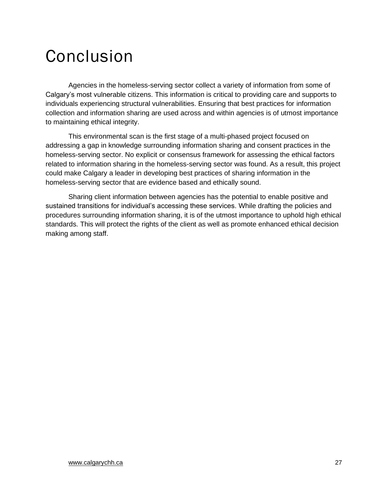# <span id="page-27-0"></span>Conclusion

Agencies in the homeless-serving sector collect a variety of information from some of Calgary's most vulnerable citizens. This information is critical to providing care and supports to individuals experiencing structural vulnerabilities. Ensuring that best practices for information collection and information sharing are used across and within agencies is of utmost importance to maintaining ethical integrity.

This environmental scan is the first stage of a multi-phased project focused on addressing a gap in knowledge surrounding information sharing and consent practices in the homeless-serving sector. No explicit or consensus framework for assessing the ethical factors related to information sharing in the homeless-serving sector was found. As a result, this project could make Calgary a leader in developing best practices of sharing information in the homeless-serving sector that are evidence based and ethically sound.

Sharing client information between agencies has the potential to enable positive and sustained transitions for individual's accessing these services. While drafting the policies and procedures surrounding information sharing, it is of the utmost importance to uphold high ethical standards. This will protect the rights of the client as well as promote enhanced ethical decision making among staff.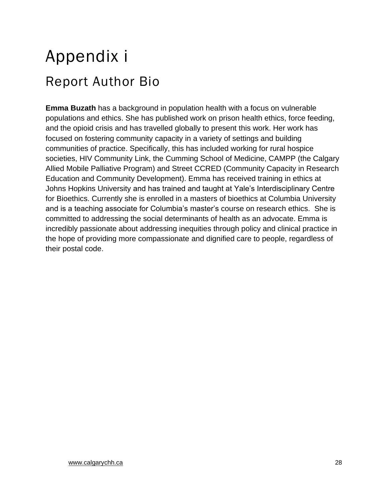# <span id="page-28-1"></span><span id="page-28-0"></span>Appendix i Report Author Bio

**Emma Buzath** has a background in population health with a focus on vulnerable populations and ethics. She has published work on prison health ethics, force feeding, and the opioid crisis and has travelled globally to present this work. Her work has focused on fostering community capacity in a variety of settings and building communities of practice. Specifically, this has included working for rural hospice societies, HIV Community Link, the Cumming School of Medicine, CAMPP (the Calgary Allied Mobile Palliative Program) and Street CCRED (Community Capacity in Research Education and Community Development). Emma has received training in ethics at Johns Hopkins University and has trained and taught at Yale's Interdisciplinary Centre for Bioethics. Currently she is enrolled in a masters of bioethics at Columbia University and is a teaching associate for Columbia's master's course on research ethics. She is committed to addressing the social determinants of health as an advocate. Emma is incredibly passionate about addressing inequities through policy and clinical practice in the hope of providing more compassionate and dignified care to people, regardless of their postal code.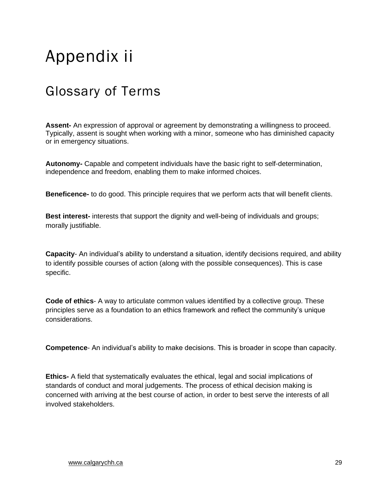# <span id="page-29-0"></span>Appendix ii

## <span id="page-29-1"></span>Glossary of Terms

**Assent-** An expression of approval or agreement by demonstrating a willingness to proceed. Typically, assent is sought when working with a minor, someone who has diminished capacity or in emergency situations.

**Autonomy-** Capable and competent individuals have the basic right to self-determination, independence and freedom, enabling them to make informed choices.

**Beneficence-** to do good. This principle requires that we perform acts that will benefit clients.

**Best interest-** interests that support the dignity and well-being of individuals and groups; morally justifiable.

**Capacity**- An individual's ability to understand a situation, identify decisions required, and ability to identify possible courses of action (along with the possible consequences). This is case specific.

**Code of ethics**- A way to articulate common values identified by a collective group. These principles serve as a foundation to an ethics framework and reflect the community's unique considerations.

**Competence**- An individual's ability to make decisions. This is broader in scope than capacity.

**Ethics-** A field that systematically evaluates the ethical, legal and social implications of standards of conduct and moral judgements. The process of ethical decision making is concerned with arriving at the best course of action, in order to best serve the interests of all involved stakeholders.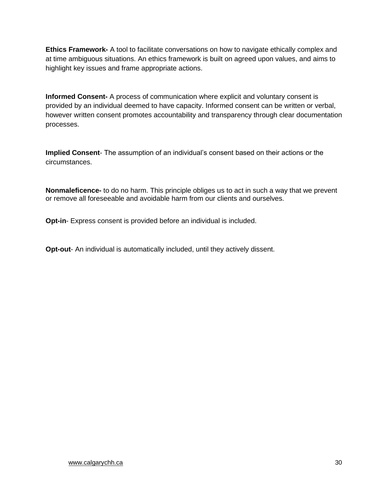**Ethics Framework-** A tool to facilitate conversations on how to navigate ethically complex and at time ambiguous situations. An ethics framework is built on agreed upon values, and aims to highlight key issues and frame appropriate actions.

**Informed Consent-** A process of communication where explicit and voluntary consent is provided by an individual deemed to have capacity. Informed consent can be written or verbal, however written consent promotes accountability and transparency through clear documentation processes.

**Implied Consent**- The assumption of an individual's consent based on their actions or the circumstances.

**Nonmaleficence-** to do no harm. This principle obliges us to act in such a way that we prevent or remove all foreseeable and avoidable harm from our clients and ourselves.

**Opt-in**- Express consent is provided before an individual is included.

**Opt-out**- An individual is automatically included, until they actively dissent.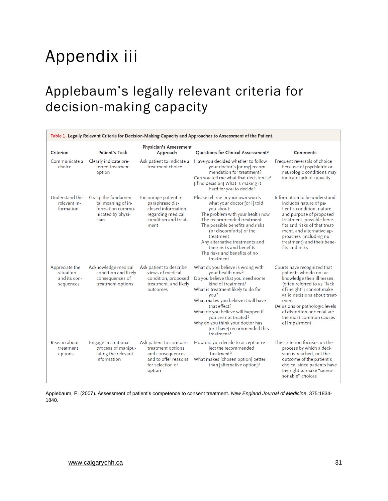# <span id="page-31-0"></span>Appendix iii

# <span id="page-31-1"></span>Applebaum's legally relevant criteria for decision-making capacity

| Table 1. Legally Relevant Criteria for Decision-Making Capacity and Approaches to Assessment of the Patient. |                                                                                            |                                                                                                                       |                                                                                                                                                                                                                                                                                                                                                                       |                                                                                                                                                                                                                                                                                                    |  |  |
|--------------------------------------------------------------------------------------------------------------|--------------------------------------------------------------------------------------------|-----------------------------------------------------------------------------------------------------------------------|-----------------------------------------------------------------------------------------------------------------------------------------------------------------------------------------------------------------------------------------------------------------------------------------------------------------------------------------------------------------------|----------------------------------------------------------------------------------------------------------------------------------------------------------------------------------------------------------------------------------------------------------------------------------------------------|--|--|
| <b>Criterion</b>                                                                                             | <b>Patient's Task</b>                                                                      | <b>Physician's Assessment</b><br>Approach                                                                             | Questions for Clinical Assessment*                                                                                                                                                                                                                                                                                                                                    | <b>Comments</b>                                                                                                                                                                                                                                                                                    |  |  |
| Communicate a<br>choice                                                                                      | Clearly indicate pre-<br>ferred treatment<br>option                                        | Ask patient to indicate a<br>treatment choice                                                                         | Have you decided whether to follow<br>your doctor's [or my] recom-<br>mendation for treatment?<br>Can you tell me what that decision is?<br>[If no decision] What is making it<br>hard for you to decide?                                                                                                                                                             | Frequent reversals of choice<br>because of psychiatric or<br>neurologic conditions may<br>indicate lack of capacity                                                                                                                                                                                |  |  |
| Understand the<br>relevant in-<br>formation                                                                  | Grasp the fundamen-<br>tal meaning of in-<br>formation commu-<br>nicated by physi-<br>cian | Encourage patient to<br>paraphrase dis-<br>closed information<br>regarding medical<br>condition and treat-<br>ment    | Please tell me in your own words<br>what your doctor [or I] told<br>you about:<br>The problem with your health now<br>The recommended treatment<br>The possible benefits and risks<br>(or discomforts) of the<br>treatment<br>Any alternative treatments and<br>their risks and benefits<br>The risks and benefits of no<br>treatment                                 | Information to be understood<br>includes nature of pa-<br>tient's condition, nature<br>and purpose of proposed<br>treatment, possible bene-<br>fits and risks of that treat-<br>ment, and alternative ap-<br>proaches (including no<br>treatment) and their bene-<br>fits and risks                |  |  |
| Appreciate the<br>situation<br>and its con-<br>sequences                                                     | Acknowledge medical<br>condition and likely<br>consequences of<br>treatment options        | Ask patient to describe<br>views of medical<br>condition, proposed<br>treatment, and likely<br>outcomes               | What do you believe is wrong with<br>your health now?<br>Do you believe that you need some<br>kind of treatment?<br>What is treatment likely to do for<br>you?<br>What makes you believe it will have<br>that effect?<br>What do you believe will happen if<br>you are not treated?<br>Why do you think your doctor has<br>[or I have] recommended this<br>treatment? | Courts have recognized that<br>patients who do not ac-<br>knowledge their illnesses<br>(often referred to as "lack<br>of insight") cannot make<br>valid decisions about treat-<br>ment<br>Delusions or pathologic levels<br>of distortion or denial are<br>the most common causes<br>of impairment |  |  |
| Reason about<br>treatment<br>options                                                                         | Engage in a rational<br>process of manipu-<br>lating the relevant<br>information           | Ask patient to compare<br>treatment options<br>and consequences<br>and to offer reasons<br>for selection of<br>option | How did you decide to accept or re-<br>ject the recommended<br>treatment?<br>What makes [chosen option] better<br>than [alternative option]?                                                                                                                                                                                                                          | This criterion focuses on the<br>process by which a deci-<br>sion is reached, not the<br>outcome of the patient's<br>choice, since patients have<br>the right to make "unrea-<br>sonable" choices                                                                                                  |  |  |

Applebaum, P. (2007). Assessment of patient's competence to consent treatment. *New England Journal of Medicine*, 375:1834- 1840.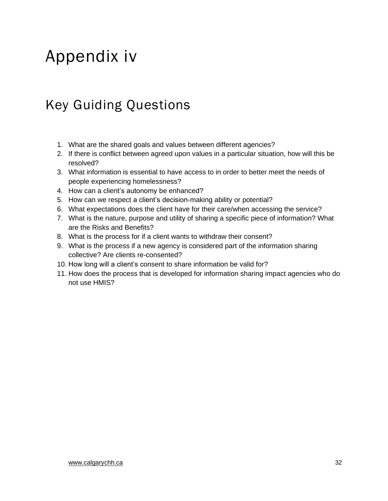# <span id="page-32-0"></span>Appendix iv

## <span id="page-32-1"></span>Key Guiding Questions

- 1. What are the shared goals and values between different agencies?
- 2. If there is conflict between agreed upon values in a particular situation, how will this be resolved?
- 3. What information is essential to have access to in order to better meet the needs of people experiencing homelessness?
- 4. How can a client's autonomy be enhanced?
- 5. How can we respect a client's decision-making ability or potential?
- 6. What expectations does the client have for their care/when accessing the service?
- 7. What is the nature, purpose and utility of sharing a specific piece of information? What are the Risks and Benefits?
- 8. What is the process for if a client wants to withdraw their consent?
- 9. What is the process if a new agency is considered part of the information sharing collective? Are clients re-consented?
- 10. How long will a client's consent to share information be valid for?
- 11. How does the process that is developed for information sharing impact agencies who do not use HMIS?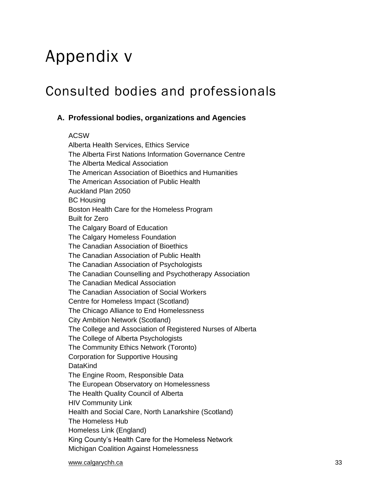# <span id="page-33-0"></span>Appendix v

## <span id="page-33-1"></span>Consulted bodies and professionals

#### **A. Professional bodies, organizations and Agencies**

#### ACSW

Alberta Health Services, Ethics Service The Alberta First Nations Information Governance Centre The Alberta Medical Association The American Association of Bioethics and Humanities The American Association of Public Health Auckland Plan 2050 BC Housing Boston Health Care for the Homeless Program Built for Zero The Calgary Board of Education The Calgary Homeless Foundation The Canadian Association of Bioethics The Canadian Association of Public Health The Canadian Association of Psychologists The Canadian Counselling and Psychotherapy Association The Canadian Medical Association The Canadian Association of Social Workers Centre for Homeless Impact (Scotland) The Chicago Alliance to End Homelessness City Ambition Network (Scotland) The College and Association of Registered Nurses of Alberta The College of Alberta Psychologists The Community Ethics Network (Toronto) Corporation for Supportive Housing **DataKind** The Engine Room, Responsible Data The European Observatory on Homelessness The Health Quality Council of Alberta HIV Community Link Health and Social Care, North Lanarkshire (Scotland) The Homeless Hub Homeless Link (England) King County's Health Care for the Homeless Network Michigan Coalition Against Homelessness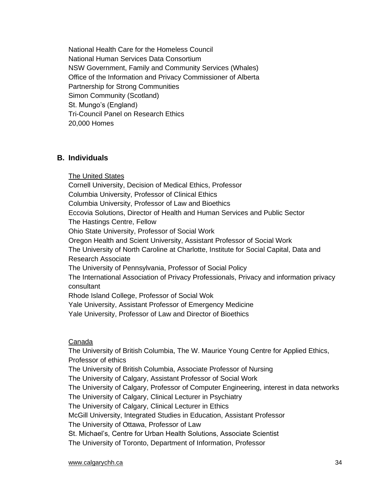National Health Care for the Homeless Council National Human Services Data Consortium NSW Government, Family and Community Services (Whales) Office of the Information and Privacy Commissioner of Alberta Partnership for Strong Communities Simon Community (Scotland) St. Mungo's (England) Tri-Council Panel on Research Ethics 20,000 Homes

#### **B. Individuals**

The United States Cornell University, Decision of Medical Ethics, Professor Columbia University, Professor of Clinical Ethics Columbia University, Professor of Law and Bioethics Eccovia Solutions, Director of Health and Human Services and Public Sector The Hastings Centre, Fellow Ohio State University, Professor of Social Work Oregon Health and Scient University, Assistant Professor of Social Work The University of North Caroline at Charlotte, Institute for Social Capital, Data and Research Associate The University of Pennsylvania, Professor of Social Policy The International Association of Privacy Professionals, Privacy and information privacy consultant Rhode Island College, Professor of Social Wok Yale University, Assistant Professor of Emergency Medicine Yale University, Professor of Law and Director of Bioethics

#### Canada

The University of British Columbia, The W. Maurice Young Centre for Applied Ethics, Professor of ethics The University of British Columbia, Associate Professor of Nursing The University of Calgary, Assistant Professor of Social Work The University of Calgary, Professor of Computer Engineering, interest in data networks The University of Calgary, Clinical Lecturer in Psychiatry The University of Calgary, Clinical Lecturer in Ethics McGill University, Integrated Studies in Education, Assistant Professor The University of Ottawa, Professor of Law St. Michael's, Centre for Urban Health Solutions, Associate Scientist The University of Toronto, Department of Information, Professor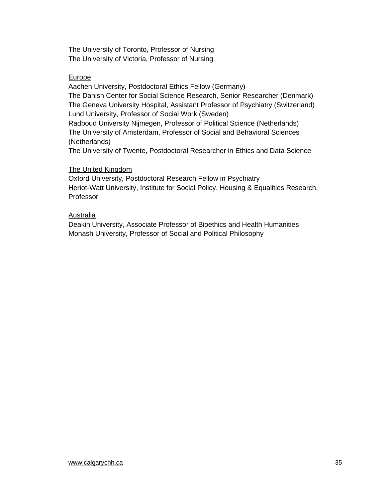The University of Toronto, Professor of Nursing The University of Victoria, Professor of Nursing

#### Europe

Aachen University, Postdoctoral Ethics Fellow (Germany) The Danish Center for Social Science Research, Senior Researcher (Denmark) The Geneva University Hospital, Assistant Professor of Psychiatry (Switzerland) Lund University, Professor of Social Work (Sweden) Radboud University Nijmegen, Professor of Political Science (Netherlands) The University of Amsterdam, Professor of Social and Behavioral Sciences (Netherlands)

The University of Twente, Postdoctoral Researcher in Ethics and Data Science

#### The United Kingdom

Oxford University, Postdoctoral Research Fellow in Psychiatry Heriot-Watt University, Institute for Social Policy, Housing & Equalities Research, Professor

#### Australia

Deakin University, Associate Professor of Bioethics and Health Humanities Monash University, Professor of Social and Political Philosophy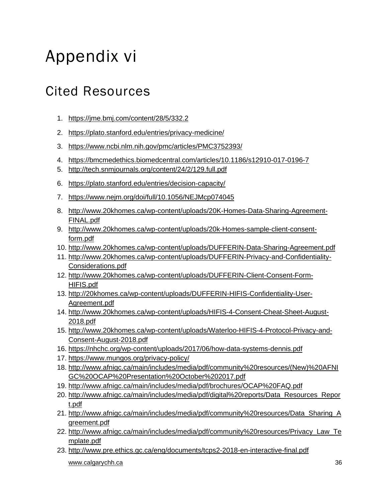# <span id="page-36-0"></span>Appendix vi

# <span id="page-36-1"></span>Cited Resources

- 1. <https://jme.bmj.com/content/28/5/332.2>
- 2. <https://plato.stanford.edu/entries/privacy-medicine/>
- 3. <https://www.ncbi.nlm.nih.gov/pmc/articles/PMC3752393/>
- 4. <https://bmcmedethics.biomedcentral.com/articles/10.1186/s12910-017-0196-7>
- 5. <http://tech.snmjournals.org/content/24/2/129.full.pdf>
- 6. <https://plato.stanford.edu/entries/decision-capacity/>
- 7. <https://www.nejm.org/doi/full/10.1056/NEJMcp074045>
- 8. [http://www.20khomes.ca/wp-content/uploads/20K-Homes-Data-Sharing-Agreement-](http://www.20khomes.ca/wp-content/uploads/20K-Homes-Data-Sharing-Agreement-FINAL.pdf)[FINAL.pdf](http://www.20khomes.ca/wp-content/uploads/20K-Homes-Data-Sharing-Agreement-FINAL.pdf)
- 9. [http://www.20khomes.ca/wp-content/uploads/20k-Homes-sample-client-consent](http://www.20khomes.ca/wp-content/uploads/20k-Homes-sample-client-consent-form.pdf)[form.pdf](http://www.20khomes.ca/wp-content/uploads/20k-Homes-sample-client-consent-form.pdf)
- 10. <http://www.20khomes.ca/wp-content/uploads/DUFFERIN-Data-Sharing-Agreement.pdf>
- 11. [http://www.20khomes.ca/wp-content/uploads/DUFFERIN-Privacy-and-Confidentiality-](http://www.20khomes.ca/wp-content/uploads/DUFFERIN-Privacy-and-Confidentiality-Considerations.pdf)[Considerations.pdf](http://www.20khomes.ca/wp-content/uploads/DUFFERIN-Privacy-and-Confidentiality-Considerations.pdf)
- 12. [http://www.20khomes.ca/wp-content/uploads/DUFFERIN-Client-Consent-Form-](http://www.20khomes.ca/wp-content/uploads/DUFFERIN-Client-Consent-Form-HIFIS.pdf)[HIFIS.pdf](http://www.20khomes.ca/wp-content/uploads/DUFFERIN-Client-Consent-Form-HIFIS.pdf)
- 13. [http://20khomes.ca/wp-content/uploads/DUFFERIN-HIFIS-Confidentiality-User-](http://20khomes.ca/wp-content/uploads/DUFFERIN-HIFIS-Confidentiality-User-Agreement.pdf)[Agreement.pdf](http://20khomes.ca/wp-content/uploads/DUFFERIN-HIFIS-Confidentiality-User-Agreement.pdf)
- 14. [http://www.20khomes.ca/wp-content/uploads/HIFIS-4-Consent-Cheat-Sheet-August-](http://www.20khomes.ca/wp-content/uploads/HIFIS-4-Consent-Cheat-Sheet-August-2018.pdf)[2018.pdf](http://www.20khomes.ca/wp-content/uploads/HIFIS-4-Consent-Cheat-Sheet-August-2018.pdf)
- 15. [http://www.20khomes.ca/wp-content/uploads/Waterloo-HIFIS-4-Protocol-Privacy-and-](http://www.20khomes.ca/wp-content/uploads/Waterloo-HIFIS-4-Protocol-Privacy-and-Consent-August-2018.pdf)[Consent-August-2018.pdf](http://www.20khomes.ca/wp-content/uploads/Waterloo-HIFIS-4-Protocol-Privacy-and-Consent-August-2018.pdf)
- 16. <https://nhchc.org/wp-content/uploads/2017/06/how-data-systems-dennis.pdf>
- 17. <https://www.mungos.org/privacy-policy/>
- 18. [http://www.afnigc.ca/main/includes/media/pdf/community%20resources/\(New\)%20AFNI](http://www.afnigc.ca/main/includes/media/pdf/community%20resources/(New)%20AFNIGC%20OCAP%20Presentation%20October%202017.pdf) [GC%20OCAP%20Presentation%20October%202017.pdf](http://www.afnigc.ca/main/includes/media/pdf/community%20resources/(New)%20AFNIGC%20OCAP%20Presentation%20October%202017.pdf)
- 19. <http://www.afnigc.ca/main/includes/media/pdf/brochures/OCAP%20FAQ.pdf>
- 20. [http://www.afnigc.ca/main/includes/media/pdf/digital%20reports/Data\\_Resources\\_Repor](http://www.afnigc.ca/main/includes/media/pdf/digital%20reports/Data_Resources_Report.pdf) [t.pdf](http://www.afnigc.ca/main/includes/media/pdf/digital%20reports/Data_Resources_Report.pdf)
- 21. [http://www.afnigc.ca/main/includes/media/pdf/community%20resources/Data\\_Sharing\\_A](http://www.afnigc.ca/main/includes/media/pdf/community%20resources/Data_Sharing_Agreement.pdf) [greement.pdf](http://www.afnigc.ca/main/includes/media/pdf/community%20resources/Data_Sharing_Agreement.pdf)
- 22. [http://www.afnigc.ca/main/includes/media/pdf/community%20resources/Privacy\\_Law\\_Te](http://www.afnigc.ca/main/includes/media/pdf/community%20resources/Privacy_Law_Template.pdf) [mplate.pdf](http://www.afnigc.ca/main/includes/media/pdf/community%20resources/Privacy_Law_Template.pdf)
- [www.calgarychh.ca](http://www.calgarychh.ca/) 36 23. <http://www.pre.ethics.gc.ca/eng/documents/tcps2-2018-en-interactive-final.pdf>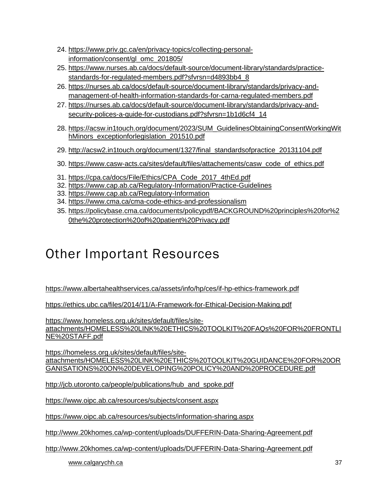- 24. [https://www.priv.gc.ca/en/privacy-topics/collecting-personal](https://www.priv.gc.ca/en/privacy-topics/collecting-personal-information/consent/gl_omc_201805/)[information/consent/gl\\_omc\\_201805/](https://www.priv.gc.ca/en/privacy-topics/collecting-personal-information/consent/gl_omc_201805/)
- 25. [https://www.nurses.ab.ca/docs/default-source/document-library/standards/practice](https://www.nurses.ab.ca/docs/default-source/document-library/standards/practice-standards-for-regulated-members.pdf?sfvrsn=d4893bb4_8)[standards-for-regulated-members.pdf?sfvrsn=d4893bb4\\_8](https://www.nurses.ab.ca/docs/default-source/document-library/standards/practice-standards-for-regulated-members.pdf?sfvrsn=d4893bb4_8)
- 26. [https://nurses.ab.ca/docs/default-source/document-library/standards/privacy-and](https://nurses.ab.ca/docs/default-source/document-library/standards/privacy-and-management-of-health-information-standards-for-carna-regulated-members.pdf)[management-of-health-information-standards-for-carna-regulated-members.pdf](https://nurses.ab.ca/docs/default-source/document-library/standards/privacy-and-management-of-health-information-standards-for-carna-regulated-members.pdf)
- 27. [https://nurses.ab.ca/docs/default-source/document-library/standards/privacy-and](https://nurses.ab.ca/docs/default-source/document-library/standards/privacy-and-security-polices-a-guide-for-custodians.pdf?sfvrsn=1b1d6cf4_14)[security-polices-a-guide-for-custodians.pdf?sfvrsn=1b1d6cf4\\_14](https://nurses.ab.ca/docs/default-source/document-library/standards/privacy-and-security-polices-a-guide-for-custodians.pdf?sfvrsn=1b1d6cf4_14)
- 28. [https://acsw.in1touch.org/document/2023/SUM\\_GuidelinesObtainingConsentWorkingWit](https://acsw.in1touch.org/document/2023/SUM_GuidelinesObtainingConsentWorkingWithMinors_exceptionforlegislation_201510.pdf) [hMinors\\_exceptionforlegislation\\_201510.pdf](https://acsw.in1touch.org/document/2023/SUM_GuidelinesObtainingConsentWorkingWithMinors_exceptionforlegislation_201510.pdf)
- 29. [http://acsw2.in1touch.org/document/1327/final\\_standardsofpractice\\_20131104.pdf](http://acsw2.in1touch.org/document/1327/final_standardsofpractice_20131104.pdf)
- 30. [https://www.casw-acts.ca/sites/default/files/attachements/casw\\_code\\_of\\_ethics.pdf](https://www.casw-acts.ca/sites/default/files/attachements/casw_code_of_ethics.pdf)
- 31. [https://cpa.ca/docs/File/Ethics/CPA\\_Code\\_2017\\_4thEd.pdf](https://cpa.ca/docs/File/Ethics/CPA_Code_2017_4thEd.pdf)
- 32. <https://www.cap.ab.ca/Regulatory-Information/Practice-Guidelines>
- 33. <https://www.cap.ab.ca/Regulatory-Information>
- 34. <https://www.cma.ca/cma-code-ethics-and-professionalism>
- 35. [https://policybase.cma.ca/documents/policypdf/BACKGROUND%20principles%20for%2](https://policybase.cma.ca/documents/policypdf/BACKGROUND%20principles%20for%20the%20protection%20of%20patient%20Privacy.pdf) [0the%20protection%20of%20patient%20Privacy.pdf](https://policybase.cma.ca/documents/policypdf/BACKGROUND%20principles%20for%20the%20protection%20of%20patient%20Privacy.pdf)

# <span id="page-37-0"></span>Other Important Resources

<https://www.albertahealthservices.ca/assets/info/hp/ces/if-hp-ethics-framework.pdf>

<https://ethics.ubc.ca/files/2014/11/A-Framework-for-Ethical-Decision-Making.pdf>

[https://www.homeless.org.uk/sites/default/files/site-](https://www.homeless.org.uk/sites/default/files/site-attachments/HOMELESS%20LINK%20ETHICS%20TOOLKIT%20FAQs%20FOR%20FRONTLINE%20STAFF.pdf)

[attachments/HOMELESS%20LINK%20ETHICS%20TOOLKIT%20FAQs%20FOR%20FRONTLI](https://www.homeless.org.uk/sites/default/files/site-attachments/HOMELESS%20LINK%20ETHICS%20TOOLKIT%20FAQs%20FOR%20FRONTLINE%20STAFF.pdf) [NE%20STAFF.pdf](https://www.homeless.org.uk/sites/default/files/site-attachments/HOMELESS%20LINK%20ETHICS%20TOOLKIT%20FAQs%20FOR%20FRONTLINE%20STAFF.pdf)

[https://homeless.org.uk/sites/default/files/site](https://homeless.org.uk/sites/default/files/site-attachments/HOMELESS%20LINK%20ETHICS%20TOOLKIT%20GUIDANCE%20FOR%20ORGANISATIONS%20ON%20DEVELOPING%20POLICY%20AND%20PROCEDURE.pdf)[attachments/HOMELESS%20LINK%20ETHICS%20TOOLKIT%20GUIDANCE%20FOR%20OR](https://homeless.org.uk/sites/default/files/site-attachments/HOMELESS%20LINK%20ETHICS%20TOOLKIT%20GUIDANCE%20FOR%20ORGANISATIONS%20ON%20DEVELOPING%20POLICY%20AND%20PROCEDURE.pdf) [GANISATIONS%20ON%20DEVELOPING%20POLICY%20AND%20PROCEDURE.pdf](https://homeless.org.uk/sites/default/files/site-attachments/HOMELESS%20LINK%20ETHICS%20TOOLKIT%20GUIDANCE%20FOR%20ORGANISATIONS%20ON%20DEVELOPING%20POLICY%20AND%20PROCEDURE.pdf)

[http://jcb.utoronto.ca/people/publications/hub\\_and\\_spoke.pdf](http://jcb.utoronto.ca/people/publications/hub_and_spoke.pdf)

<https://www.oipc.ab.ca/resources/subjects/consent.aspx>

<https://www.oipc.ab.ca/resources/subjects/information-sharing.aspx>

<http://www.20khomes.ca/wp-content/uploads/DUFFERIN-Data-Sharing-Agreement.pdf>

<http://www.20khomes.ca/wp-content/uploads/DUFFERIN-Data-Sharing-Agreement.pdf>